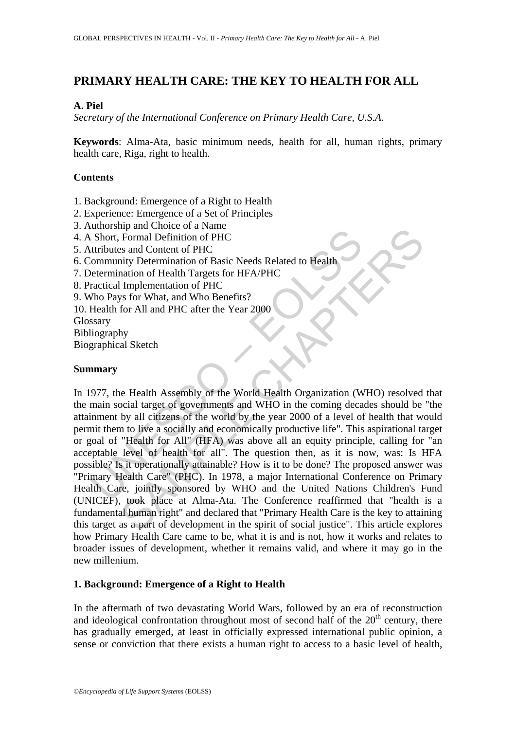# **PRIMARY HEALTH CARE: THE KEY TO HEALTH FOR ALL**

### **A. Piel**

*Secretary of the International Conference on Primary Health Care, U.S.A.* 

**Keywords**: Alma-Ata, basic minimum needs, health for all, human rights, primary health care, Riga, right to health.

## **Contents**

- 1. Background: Emergence of a Right to Health
- 2. Experience: Emergence of a Set of Principles
- 3. Authorship and Choice of a Name
- 4. A Short, Formal Definition of PHC
- 5. Attributes and Content of PHC
- 6. Community Determination of Basic Needs Related to Health
- 7. Determination of Health Targets for HFA/PHC
- 8. Practical Implementation of PHC
- 9. Who Pays for What, and Who Benefits?
- 10. Health for All and PHC after the Year 2000
- Glossary
- Bibliography

Biographical Sketch

### **Summary**

Controllary and Content of PHC<br>
Short, Formal Definition of PHC<br>
tributes and Content of PHC<br>
tributes and Content of PHC<br>
tributes and Content of PHC<br>
tributes and Content of PHC<br>
characteristic Implementation of PHC<br>
The man Choice of a valuate Chapter<br>Formal Definition of PHC<br>sand Content of PHC<br>anation of Basic Needs Related to Health<br>Implementation of PHC<br>Implementation of PHC<br>for All and PHC after the Year 2000<br>for All and PHC after th In 1977, the Health Assembly of the World Health Organization (WHO) resolved that the main social target of governments and WHO in the coming decades should be "the attainment by all citizens of the world by the year 2000 of a level of health that would permit them to live a socially and economically productive life". This aspirational target or goal of "Health for All" (HFA) was above all an equity principle, calling for "an acceptable level of health for all". The question then, as it is now, was: Is HFA possible? Is it operationally attainable? How is it to be done? The proposed answer was "Primary Health Care" (PHC). In 1978, a major International Conference on Primary Health Care, jointly sponsored by WHO and the United Nations Children's Fund (UNICEF), took place at Alma-Ata. The Conference reaffirmed that "health is a fundamental human right" and declared that "Primary Health Care is the key to attaining this target as a part of development in the spirit of social justice". This article explores how Primary Health Care came to be, what it is and is not, how it works and relates to broader issues of development, whether it remains valid, and where it may go in the new millenium.

#### **1. Background: Emergence of a Right to Health**

In the aftermath of two devastating World Wars, followed by an era of reconstruction and ideological confrontation throughout most of second half of the  $20<sup>th</sup>$  century, there has gradually emerged, at least in officially expressed international public opinion, a sense or conviction that there exists a human right to access to a basic level of health,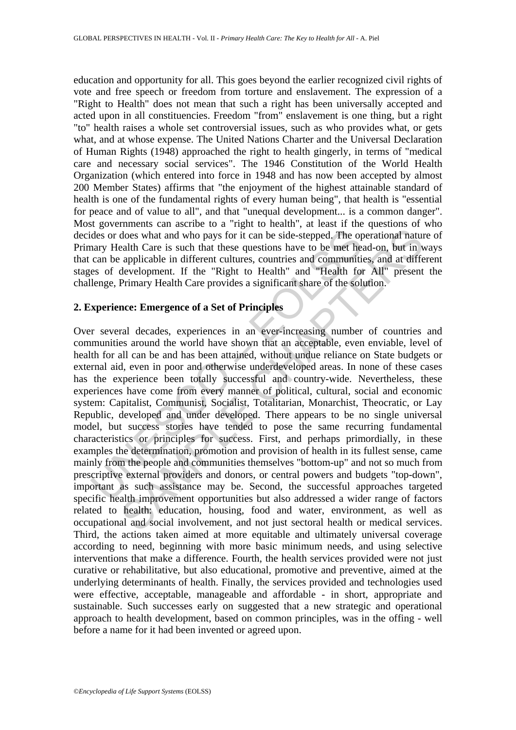education and opportunity for all. This goes beyond the earlier recognized civil rights of vote and free speech or freedom from torture and enslavement. The expression of a "Right to Health" does not mean that such a right has been universally accepted and acted upon in all constituencies. Freedom "from" enslavement is one thing, but a right "to" health raises a whole set controversial issues, such as who provides what, or gets what, and at whose expense. The United Nations Charter and the Universal Declaration of Human Rights (1948) approached the right to health gingerly, in terms of "medical care and necessary social services". The 1946 Constitution of the World Health Organization (which entered into force in 1948 and has now been accepted by almost 200 Member States) affirms that "the enjoyment of the highest attainable standard of health is one of the fundamental rights of every human being", that health is "essential for peace and of value to all", and that "unequal development... is a common danger". Most governments can ascribe to a "right to health", at least if the questions of who decides or does what and who pays for it can be side-stepped. The operational nature of Primary Health Care is such that these questions have to be met head-on, but in ways that can be applicable in different cultures, countries and communities, and at different stages of development. If the "Right to Health" and "Health for All" present the challenge, Primary Health Care provides a significant share of the solution.

#### **2. Experience: Emergence of a Set of Principles**

des or does what and who pays for it can be side-stepped. The opary Health Care is such that these questions have to be met head can be applicable in different cultures, countries and communities of development. If the "Ri does what and who pays for it can be side-stepped. The operational natual clack clack that these questions have to be met head-on, but in versual and Care is such that these questions have to be met head-on, but in versual Over several decades, experiences in an ever-increasing number of countries and communities around the world have shown that an acceptable, even enviable, level of health for all can be and has been attained, without undue reliance on State budgets or external aid, even in poor and otherwise underdeveloped areas. In none of these cases has the experience been totally successful and country-wide. Nevertheless, these experiences have come from every manner of political, cultural, social and economic system: Capitalist, Communist, Socialist, Totalitarian, Monarchist, Theocratic, or Lay Republic, developed and under developed. There appears to be no single universal model, but success stories have tended to pose the same recurring fundamental characteristics or principles for success. First, and perhaps primordially, in these examples the determination, promotion and provision of health in its fullest sense, came mainly from the people and communities themselves "bottom-up" and not so much from prescriptive external providers and donors, or central powers and budgets "top-down", important as such assistance may be. Second, the successful approaches targeted specific health improvement opportunities but also addressed a wider range of factors related to health: education, housing, food and water, environment, as well as occupational and social involvement, and not just sectoral health or medical services. Third, the actions taken aimed at more equitable and ultimately universal coverage according to need, beginning with more basic minimum needs, and using selective interventions that make a difference. Fourth, the health services provided were not just curative or rehabilitative, but also educational, promotive and preventive, aimed at the underlying determinants of health. Finally, the services provided and technologies used were effective, acceptable, manageable and affordable - in short, appropriate and sustainable. Such successes early on suggested that a new strategic and operational approach to health development, based on common principles, was in the offing - well before a name for it had been invented or agreed upon.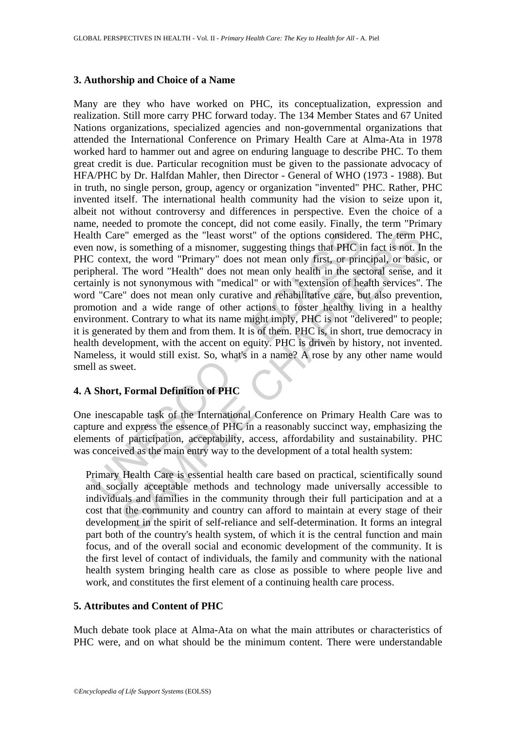### **3. Authorship and Choice of a Name**

1th Care" emerged as the "least worst" of the options considered a now, is something of a misnomer, suggesting things that PHC is context, the word "Primary" does not mean only first, or primeral. The word "Health" does no "e" emerged as the "least worst" of the options considered. The term P<br>is something of a misnomer, suggesting things that PHC in fact is not. In<br>tx, the word "Primary" does not mean only first, or principal, or basis<br>The w Many are they who have worked on PHC, its conceptualization, expression and realization. Still more carry PHC forward today. The 134 Member States and 67 United Nations organizations, specialized agencies and non-governmental organizations that attended the International Conference on Primary Health Care at Alma-Ata in 1978 worked hard to hammer out and agree on enduring language to describe PHC. To them great credit is due. Particular recognition must be given to the passionate advocacy of HFA/PHC by Dr. Halfdan Mahler, then Director - General of WHO (1973 - 1988). But in truth, no single person, group, agency or organization "invented" PHC. Rather, PHC invented itself. The international health community had the vision to seize upon it, albeit not without controversy and differences in perspective. Even the choice of a name, needed to promote the concept, did not come easily. Finally, the term "Primary Health Care" emerged as the "least worst" of the options considered. The term PHC, even now, is something of a misnomer, suggesting things that PHC in fact is not. In the PHC context, the word "Primary" does not mean only first, or principal, or basic, or peripheral. The word "Health" does not mean only health in the sectoral sense, and it certainly is not synonymous with "medical" or with "extension of health services". The word "Care" does not mean only curative and rehabilitative care, but also prevention, promotion and a wide range of other actions to foster healthy living in a healthy environment. Contrary to what its name might imply, PHC is not "delivered" to people; it is generated by them and from them. It is of them. PHC is, in short, true democracy in health development, with the accent on equity. PHC is driven by history, not invented. Nameless, it would still exist. So, what's in a name? A rose by any other name would smell as sweet.

# **4. A Short, Formal Definition of PHC**

One inescapable task of the International Conference on Primary Health Care was to capture and express the essence of PHC in a reasonably succinct way, emphasizing the elements of participation, acceptability, access, affordability and sustainability. PHC was conceived as the main entry way to the development of a total health system:

Primary Health Care is essential health care based on practical, scientifically sound and socially acceptable methods and technology made universally accessible to individuals and families in the community through their full participation and at a cost that the community and country can afford to maintain at every stage of their development in the spirit of self-reliance and self-determination. It forms an integral part both of the country's health system, of which it is the central function and main focus, and of the overall social and economic development of the community. It is the first level of contact of individuals, the family and community with the national health system bringing health care as close as possible to where people live and work, and constitutes the first element of a continuing health care process.

# **5. Attributes and Content of PHC**

Much debate took place at Alma-Ata on what the main attributes or characteristics of PHC were, and on what should be the minimum content. There were understandable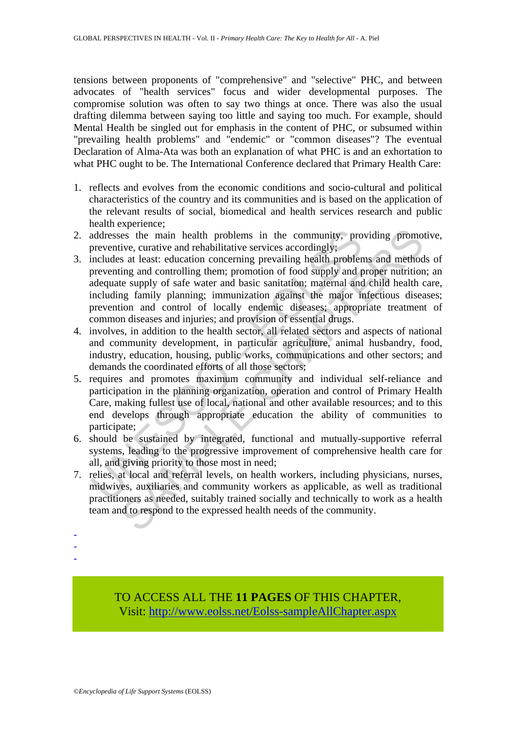tensions between proponents of "comprehensive" and "selective" PHC, and between advocates of "health services" focus and wider developmental purposes. The compromise solution was often to say two things at once. There was also the usual drafting dilemma between saying too little and saying too much. For example, should Mental Health be singled out for emphasis in the content of PHC, or subsumed within "prevailing health problems" and "endemic" or "common diseases"? The eventual Declaration of Alma-Ata was both an explanation of what PHC is and an exhortation to what PHC ought to be. The International Conference declared that Primary Health Care:

- 1. reflects and evolves from the economic conditions and socio-cultural and political characteristics of the country and its communities and is based on the application of the relevant results of social, biomedical and health services research and public health experience;
- 2. addresses the main health problems in the community, providing promotive, preventive, curative and rehabilitative services accordingly;
- addresses the main health problems in the community, pro<br>preventive, curative and rehabilitative services accordingly;<br>includes at least: education concerning prevailing health problem<br>preventing and controlling them; prom ress the main health problems in the community, providing promotive, curative and rehabilitative services accordingly; at least: education concerning prevailing health problems and method in states: education concerning pr 3. includes at least: education concerning prevailing health problems and methods of preventing and controlling them; promotion of food supply and proper nutrition; an adequate supply of safe water and basic sanitation; maternal and child health care, including family planning; immunization against the major infectious diseases; prevention and control of locally endemic diseases; appropriate treatment of common diseases and injuries; and provision of essential drugs.
- 4. involves, in addition to the health sector, all related sectors and aspects of national and community development, in particular agriculture, animal husbandry, food, industry, education, housing, public works, communications and other sectors; and demands the coordinated efforts of all those sectors;
- 5. requires and promotes maximum community and individual self-reliance and participation in the planning organization, operation and control of Primary Health Care, making fullest use of local, national and other available resources; and to this end develops through appropriate education the ability of communities to participate;
- 6. should be sustained by integrated, functional and mutually-supportive referral systems, leading to the progressive improvement of comprehensive health care for all, and giving priority to those most in need;
- 7. relies, at local and referral levels, on health workers, including physicians, nurses, midwives, auxiliaries and community workers as applicable, as well as traditional practitioners as needed, suitably trained socially and technically to work as a health team and to respond to the expressed health needs of the community.
- -
- -
- -

TO ACCESS ALL THE **11 PAGES** OF THIS CHAPTER, Visit[: http://www.eolss.net/Eolss-sampleAllChapter.aspx](https://www.eolss.net/ebooklib/sc_cart.aspx?File=E1-14-03-01)